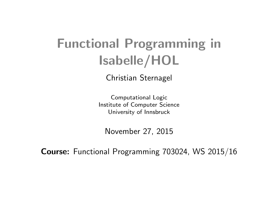# Functional Programming in [Isabelle/HOL](http://isabelle.in.tum.de)

Christian Sternagel

Computational Logic Institute of Computer Science University of Innsbruck

November 27, 2015

Course: Functional Programming 703024, WS 2015/16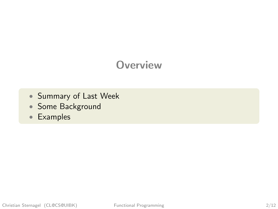## **Overview**

- [Summary of Last Week](#page-3-0)
- [Some Background](#page-4-0)
- [Examples](#page-38-0)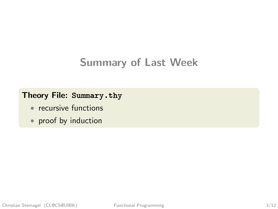## Summary of Last Week

#### Theory File: [Summary.thy](http://cl-informatik.uibk.ac.at/teaching/ws15/fp/m/Summary.thy)

- recursive functions
- proof by induction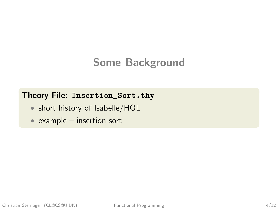## <span id="page-3-0"></span>Some Background

#### Theory File: [Insertion\\_Sort.thy](http://cl-informatik.uibk.ac.at/teaching/ws15/fp/m/Insertion_Sort.thy)

- short history of [Isabelle/HOL](http://isabelle.in.tum.de)
- example insertion sort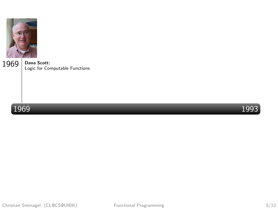<span id="page-4-0"></span>





Christian Sternagel (CL@CS@UIBK) Functional Programming 5/12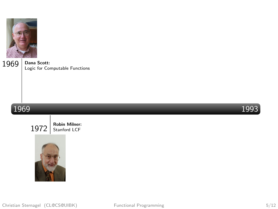

#### 1969 1993



1972 | Robin Milner:

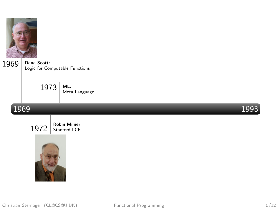

> ML:  $1973$  ML:<br>Meta Language

#### 1969 1993



 $1972$  Robin Milner:

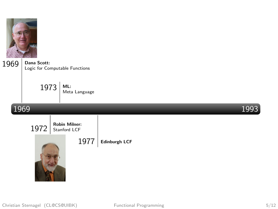

> ML:  $1973$  ML:<br>Meta Language

#### 1969 1993

 $1972$  Stanford LCF 1977 | Edinburgh LCF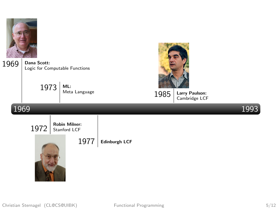

| 1969 | Dana Scott:<br>Logic for Computable Functions |                                              |                      |      |                                 |      |
|------|-----------------------------------------------|----------------------------------------------|----------------------|------|---------------------------------|------|
|      | 1973                                          | ML:<br>Meta Language                         |                      | 1985 | Larry Paulson:<br>Cambridge LCF |      |
| 1969 |                                               |                                              |                      |      |                                 | 1993 |
|      | 1972                                          | <b>Robin Milner:</b><br>Stanford LCF<br>1977 | <b>Edinburgh LCF</b> |      |                                 |      |

**Collective Collection**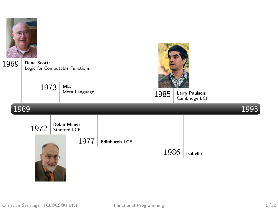



Christian Sternagel (CL@CS@UIBK) Functional Programming 5/12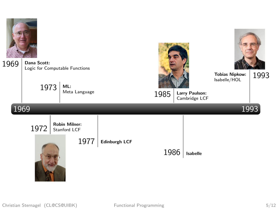

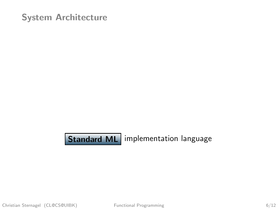**Standard ML** implementation language

Christian Sternagel (CL@CS@UIBK) Functional Programming 6/12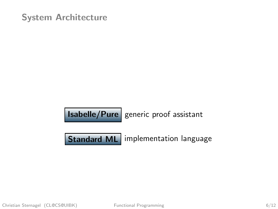$\vert$  Isabelle/Pure  $\vert$  generic proof assistant

Standard ML implementation language

Christian Sternagel (CL@CS@UIBK) Functional Programming 6/12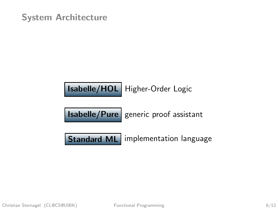

| <b>Isabelle/Pure</b> generic proof assistant |  |  |  |
|----------------------------------------------|--|--|--|
|----------------------------------------------|--|--|--|

Standard ML implementation language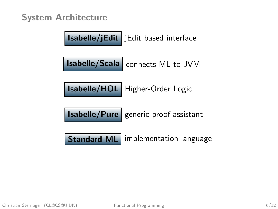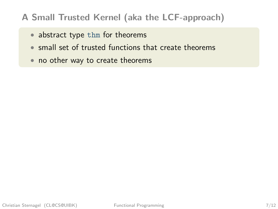#### A Small Trusted Kernel (aka the LCF-approach)

- abstract type thm for theorems
- small set of trusted functions that create theorems
- no other way to create theorems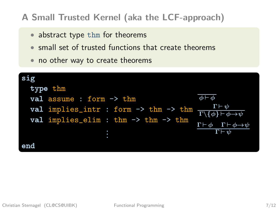#### A Small Trusted Kernel (aka the LCF-approach)

- abstract type thm for theorems
- small set of trusted functions that create theorems
- no other way to create theorems

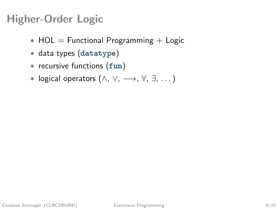## Higher-Order Logic

- $HOL = Functional Programming + Logic$
- data types (datatype)
- recursive functions (fun)
- logical operators  $(\wedge, \vee, \longrightarrow, \forall, \exists, \dots)$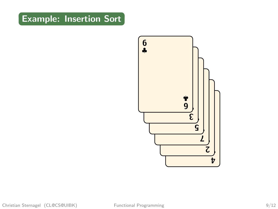

Christian Sternagel (CL@CS@UIBK) Functional Programming 9/12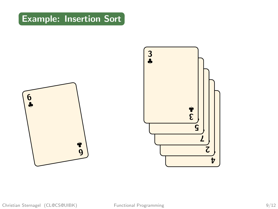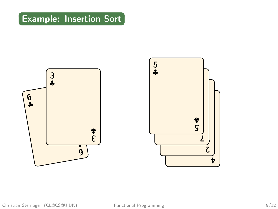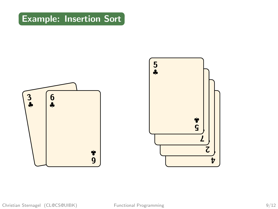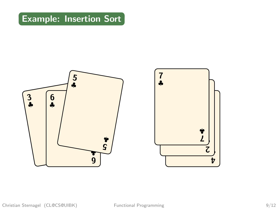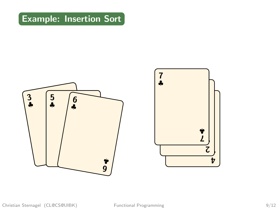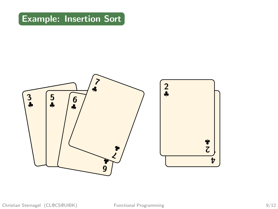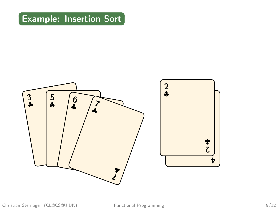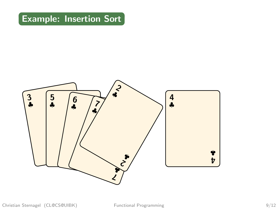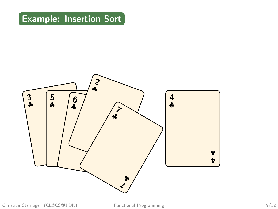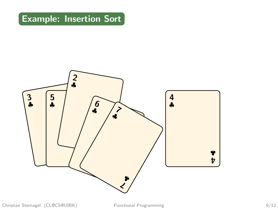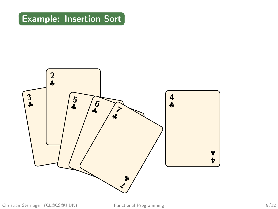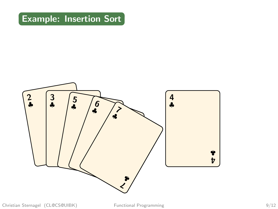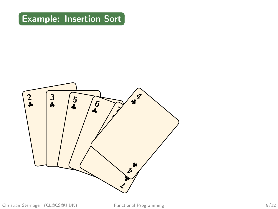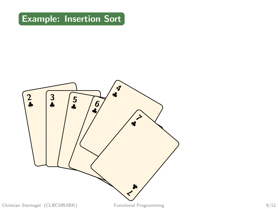

Christian Sternagel (CL@CS@UIBK) Functional Programming 9/12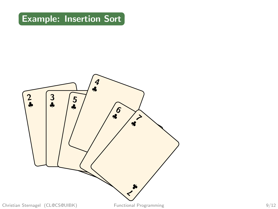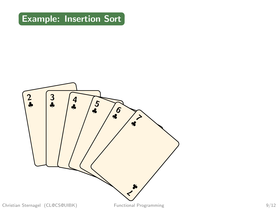

Christian Sternagel (CL@CS@UIBK) Functional Programming 9/12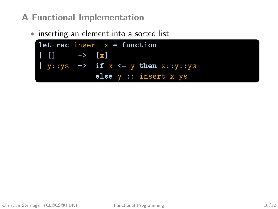#### A Functional Implementation

• inserting an element into a sorted list

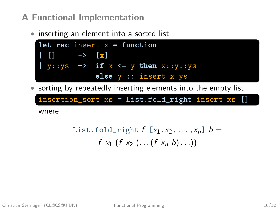#### A Functional Implementation

• inserting an element into a sorted list



• sorting by repeatedly inserting elements into the empty list

insertion\_sort xs = List.fold\_right insert xs [] where

List-fold-right 
$$
f[x_1, x_2, ..., x_n]
$$
  $b =$   
 $f x_1 (f x_2 (...(f x_n b)...))$ 

Christian Sternagel (CL@CS@UIBK) Functional Programming 10/12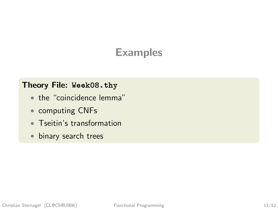## Examples

#### Theory File: [Week08.thy](http://cl-informatik.uibk.ac.at/teaching/ws15/fp/m/Week08.thy)

- the "coincidence lemma"
- computing CNFs
- Tseitin's transformation
- binary search trees